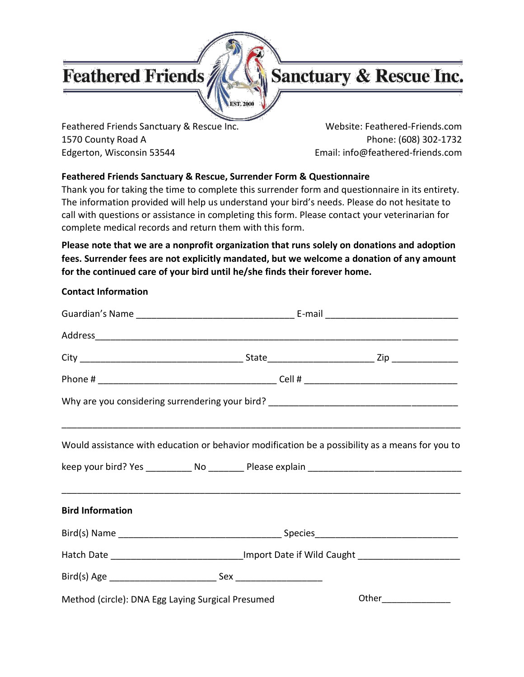## **Feathered Friends**

**Contact Information**



Feathered Friends Sanctuary & Rescue Inc. Website: Feathered-Friends.com 1570 County Road A Phone: (608) 302-1732 Edgerton, Wisconsin 53544 **Email: info@feathered-friends.com** 

#### **Feathered Friends Sanctuary & Rescue, Surrender Form & Questionnaire**

**EST. 2000** 

Thank you for taking the time to complete this surrender form and questionnaire in its entirety. The information provided will help us understand your bird's needs. Please do not hesitate to call with questions or assistance in completing this form. Please contact your veterinarian for complete medical records and return them with this form.

**Please note that we are a nonprofit organization that runs solely on donations and adoption fees. Surrender fees are not explicitly mandated, but we welcome a donation of any amount for the continued care of your bird until he/she finds their forever home.**

|                                                   | Would assistance with education or behavior modification be a possibility as a means for you to |
|---------------------------------------------------|-------------------------------------------------------------------------------------------------|
|                                                   |                                                                                                 |
| <b>Bird Information</b>                           |                                                                                                 |
|                                                   |                                                                                                 |
|                                                   | Hatch Date _____________________________Import Date if Wild Caught ____________________         |
|                                                   |                                                                                                 |
| Method (circle): DNA Egg Laying Surgical Presumed | Other <b>Communication</b>                                                                      |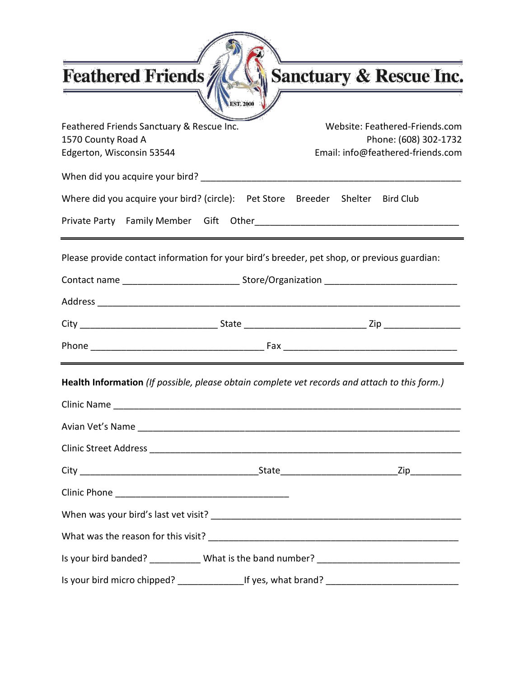| Feathered Friends                                                                             |           | <u> 1989 - Johann Barn, mars ann an t-Amhain Aonaich an t-Aonaich an t-Aonaich an t-Aonaich an t-Aonaich an t-Aon</u><br><b>Sanctuary &amp; Rescue Inc.</b> |
|-----------------------------------------------------------------------------------------------|-----------|-------------------------------------------------------------------------------------------------------------------------------------------------------------|
|                                                                                               | EST. 2000 |                                                                                                                                                             |
| Feathered Friends Sanctuary & Rescue Inc.<br>1570 County Road A<br>Edgerton, Wisconsin 53544  |           | Website: Feathered-Friends.com<br>Phone: (608) 302-1732<br>Email: info@feathered-friends.com                                                                |
|                                                                                               |           |                                                                                                                                                             |
| Where did you acquire your bird? (circle):    Pet Store Breeder Shelter Bird Club             |           |                                                                                                                                                             |
|                                                                                               |           |                                                                                                                                                             |
|                                                                                               |           |                                                                                                                                                             |
|                                                                                               |           |                                                                                                                                                             |
|                                                                                               |           |                                                                                                                                                             |
|                                                                                               |           |                                                                                                                                                             |
| Clinic Name                                                                                   |           |                                                                                                                                                             |
| Health Information (If possible, please obtain complete vet records and attach to this form.) |           |                                                                                                                                                             |
|                                                                                               |           |                                                                                                                                                             |
|                                                                                               |           |                                                                                                                                                             |
|                                                                                               |           |                                                                                                                                                             |
|                                                                                               |           |                                                                                                                                                             |
|                                                                                               |           |                                                                                                                                                             |
|                                                                                               |           |                                                                                                                                                             |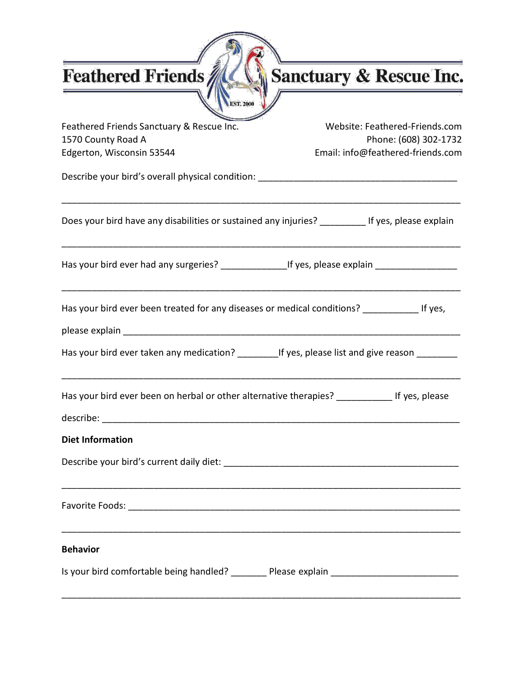|  |  |  | <b>Feathered Friends</b> |  |  |
|--|--|--|--------------------------|--|--|
|--|--|--|--------------------------|--|--|

# Sanctuary & Rescue Inc.

| Feathered Friends Sanctuary & Rescue Inc.<br>1570 County Road A                                     | Website: Feathered-Friends.com<br>Phone: (608) 302-1732 |
|-----------------------------------------------------------------------------------------------------|---------------------------------------------------------|
| Edgerton, Wisconsin 53544                                                                           | Email: info@feathered-friends.com                       |
|                                                                                                     |                                                         |
| Does your bird have any disabilities or sustained any injuries? __________ If yes, please explain   |                                                         |
| Has your bird ever had any surgeries? __________________If yes, please explain ____________________ |                                                         |
| Has your bird ever been treated for any diseases or medical conditions? _____________ If yes,       |                                                         |
| Has your bird ever taken any medication? ___________If yes, please list and give reason _________   |                                                         |
| Has your bird ever been on herbal or other alternative therapies? ______________ If yes, please     |                                                         |
| <b>Diet Information</b>                                                                             |                                                         |
|                                                                                                     |                                                         |
|                                                                                                     |                                                         |
| <b>Behavior</b>                                                                                     |                                                         |
| Is your bird comfortable being handled? ________ Please explain ___________________________________ |                                                         |

**SALE** 

**EST. 2000**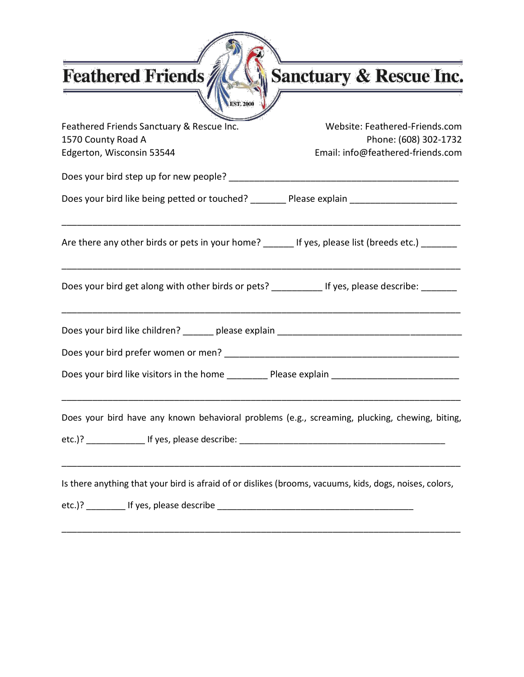Sanctuary & Rescue Inc.

| <b>EST. 2000</b>                                                                                        |                                                         |
|---------------------------------------------------------------------------------------------------------|---------------------------------------------------------|
| Feathered Friends Sanctuary & Rescue Inc.<br>1570 County Road A                                         | Website: Feathered-Friends.com<br>Phone: (608) 302-1732 |
| Edgerton, Wisconsin 53544                                                                               | Email: info@feathered-friends.com                       |
|                                                                                                         |                                                         |
| Does your bird like being petted or touched? ________ Please explain ______________________________     |                                                         |
| Are there any other birds or pets in your home? ______ If yes, please list (breeds etc.) _______        |                                                         |
| Does your bird get along with other birds or pets? ___________ If yes, please describe: _______         |                                                         |
|                                                                                                         |                                                         |
|                                                                                                         |                                                         |
| Does your bird like visitors in the home __________ Please explain ________________________________     |                                                         |
| Does your bird have any known behavioral problems (e.g., screaming, plucking, chewing, biting,          |                                                         |
| Is there anything that your bird is afraid of or dislikes (brooms, vacuums, kids, dogs, noises, colors, |                                                         |
|                                                                                                         |                                                         |

Ń